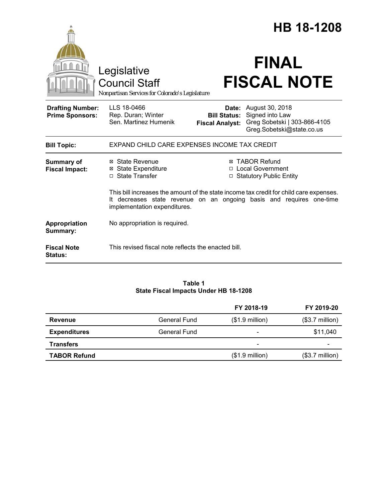|                                                   |                                                                                        |                        | HB 18-1208                                                                                                                                                     |
|---------------------------------------------------|----------------------------------------------------------------------------------------|------------------------|----------------------------------------------------------------------------------------------------------------------------------------------------------------|
|                                                   | Legislative<br><b>Council Staff</b><br>Nonpartisan Services for Colorado's Legislature |                        | <b>FINAL</b><br><b>FISCAL NOTE</b>                                                                                                                             |
| <b>Drafting Number:</b><br><b>Prime Sponsors:</b> | LLS 18-0466<br>Rep. Duran; Winter<br>Sen. Martinez Humenik                             | <b>Fiscal Analyst:</b> | <b>Date:</b> August 30, 2018<br><b>Bill Status:</b> Signed into Law<br>Greg Sobetski   303-866-4105<br>Greg.Sobetski@state.co.us                               |
| <b>Bill Topic:</b>                                | EXPAND CHILD CARE EXPENSES INCOME TAX CREDIT                                           |                        |                                                                                                                                                                |
| <b>Summary of</b><br><b>Fiscal Impact:</b>        | ⊠ State Revenue<br><b>⊠</b> State Expenditure<br>$\Box$ State Transfer                 |                        | ⊠ TABOR Refund<br>□ Local Government<br>□ Statutory Public Entity                                                                                              |
|                                                   | implementation expenditures.                                                           |                        | This bill increases the amount of the state income tax credit for child care expenses.<br>It decreases state revenue on an ongoing basis and requires one-time |
| Appropriation<br>Summary:                         | No appropriation is required.                                                          |                        |                                                                                                                                                                |
| <b>Fiscal Note</b><br><b>Status:</b>              | This revised fiscal note reflects the enacted bill.                                    |                        |                                                                                                                                                                |

## **Table 1 State Fiscal Impacts Under HB 18-1208**

|                     |                     | FY 2018-19                   | FY 2019-20               |
|---------------------|---------------------|------------------------------|--------------------------|
| Revenue             | <b>General Fund</b> | $($1.9$ million)             | $($3.7 \text{ million})$ |
| <b>Expenditures</b> | General Fund        | $\qquad \qquad$              | \$11,040                 |
| <b>Transfers</b>    |                     | $\qquad \qquad \blacksquare$ | $\overline{\phantom{0}}$ |
| <b>TABOR Refund</b> |                     | $($1.9$ million)             | $($3.7 \text{ million})$ |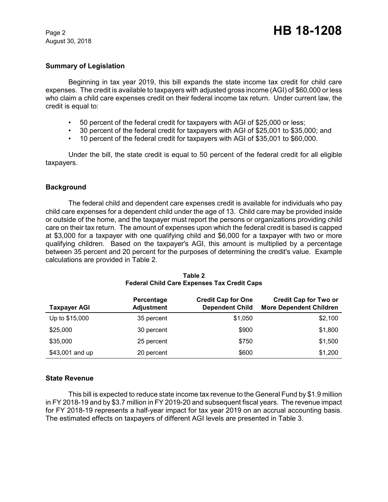August 30, 2018

### **Summary of Legislation**

Beginning in tax year 2019, this bill expands the state income tax credit for child care expenses. The credit is available to taxpayers with adjusted gross income (AGI) of \$60,000 or less who claim a child care expenses credit on their federal income tax return. Under current law, the credit is equal to:

- 50 percent of the federal credit for taxpayers with AGI of \$25,000 or less;
- 30 percent of the federal credit for taxpayers with AGI of \$25,001 to \$35,000; and
- 10 percent of the federal credit for taxpayers with AGI of \$35,001 to \$60,000.

Under the bill, the state credit is equal to 50 percent of the federal credit for all eligible taxpayers.

## **Background**

The federal child and dependent care expenses credit is available for individuals who pay child care expenses for a dependent child under the age of 13. Child care may be provided inside or outside of the home, and the taxpayer must report the persons or organizations providing child care on their tax return. The amount of expenses upon which the federal credit is based is capped at \$3,000 for a taxpayer with one qualifying child and \$6,000 for a taxpayer with two or more qualifying children. Based on the taxpayer's AGI, this amount is multiplied by a percentage between 35 percent and 20 percent for the purposes of determining the credit's value. Example calculations are provided in Table 2.

| <b>Taxpayer AGI</b> | Percentage<br><b>Adjustment</b> | <b>Credit Cap for One</b><br><b>Dependent Child</b> | <b>Credit Cap for Two or</b><br><b>More Dependent Children</b> |
|---------------------|---------------------------------|-----------------------------------------------------|----------------------------------------------------------------|
| Up to \$15,000      | 35 percent                      | \$1,050                                             | \$2,100                                                        |
| \$25,000            | 30 percent                      | \$900                                               | \$1,800                                                        |
| \$35,000            | 25 percent                      | \$750                                               | \$1,500                                                        |
| \$43,001 and up     | 20 percent                      | \$600                                               | \$1,200                                                        |

#### **Table 2 Federal Child Care Expenses Tax Credit Caps**

### **State Revenue**

This bill is expected to reduce state income tax revenue to the General Fund by \$1.9 million in FY 2018-19 and by \$3.7 million in FY 2019-20 and subsequent fiscal years. The revenue impact for FY 2018-19 represents a half-year impact for tax year 2019 on an accrual accounting basis. The estimated effects on taxpayers of different AGI levels are presented in Table 3.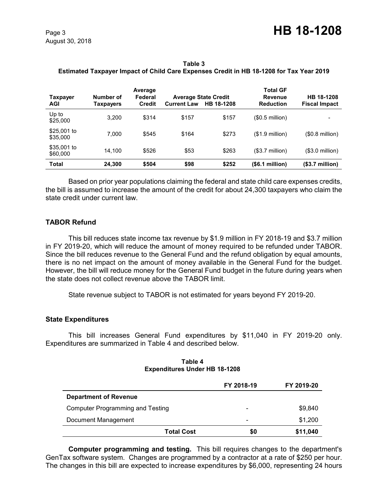**Table 3 Estimated Taxpayer Impact of Child Care Expenses Credit in HB 18-1208 for Tax Year 2019**

| Taxpayer<br><b>AGI</b>  | Number of<br>Taxpayers | Average<br>Federal<br><b>Credit</b> | <b>Current Law</b> | <b>Average State Credit</b><br>HB 18-1208 | <b>Total GF</b><br><b>Revenue</b><br><b>Reduction</b> | HB 18-1208<br><b>Fiscal Impact</b> |
|-------------------------|------------------------|-------------------------------------|--------------------|-------------------------------------------|-------------------------------------------------------|------------------------------------|
| Up to<br>\$25,000       | 3.200                  | \$314                               | \$157              | \$157                                     | (\$0.5 million)                                       |                                    |
| \$25,001 to<br>\$35,000 | 7.000                  | \$545                               | \$164              | \$273                                     | $($1.9$ million)                                      | $($0.8$ million $)$                |
| \$35,001 to<br>\$60,000 | 14.100                 | \$526                               | \$53               | \$263                                     | (\$3.7 million)                                       | $($3.0 \text{ million})$           |
| <b>Total</b>            | 24.300                 | \$504                               | \$98               | \$252                                     | $(S6.1$ million)                                      | $($3.7 \text{ million})$           |

Based on prior year populations claiming the federal and state child care expenses credits, the bill is assumed to increase the amount of the credit for about 24,300 taxpayers who claim the state credit under current law.

# **TABOR Refund**

This bill reduces state income tax revenue by \$1.9 million in FY 2018-19 and \$3.7 million in FY 2019-20, which will reduce the amount of money required to be refunded under TABOR. Since the bill reduces revenue to the General Fund and the refund obligation by equal amounts, there is no net impact on the amount of money available in the General Fund for the budget. However, the bill will reduce money for the General Fund budget in the future during years when the state does not collect revenue above the TABOR limit.

State revenue subject to TABOR is not estimated for years beyond FY 2019-20.

## **State Expenditures**

This bill increases General Fund expenditures by \$11,040 in FY 2019-20 only. Expenditures are summarized in Table 4 and described below.

| Table 4                              |  |
|--------------------------------------|--|
| <b>Expenditures Under HB 18-1208</b> |  |

|                                  | FY 2018-19               | FY 2019-20 |
|----------------------------------|--------------------------|------------|
| <b>Department of Revenue</b>     |                          |            |
| Computer Programming and Testing | $\overline{\phantom{a}}$ | \$9,840    |
| Document Management              | $\overline{\phantom{a}}$ | \$1,200    |
| <b>Total Cost</b>                | \$0                      | \$11,040   |

**Computer programming and testing.** This bill requires changes to the department's GenTax software system. Changes are programmed by a contractor at a rate of \$250 per hour. The changes in this bill are expected to increase expenditures by \$6,000, representing 24 hours